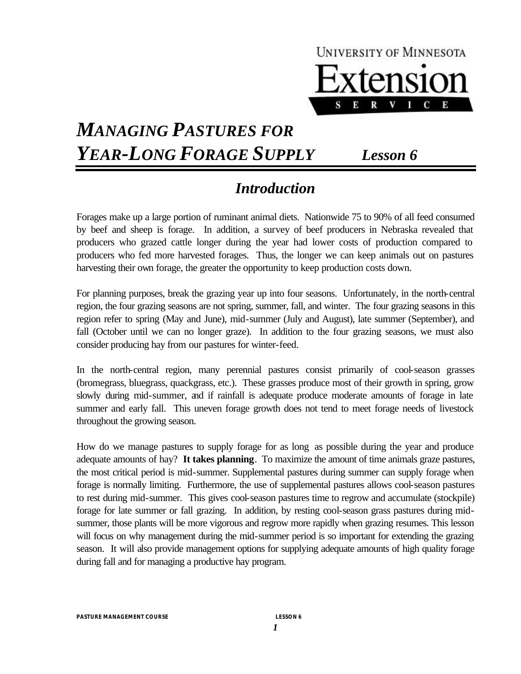

# *MANAGING PASTURES FOR YEAR-LONG FORAGE SUPPLY Lesson 6*

### *Introduction*

Forages make up a large portion of ruminant animal diets. Nationwide 75 to 90% of all feed consumed by beef and sheep is forage. In addition, a survey of beef producers in Nebraska revealed that producers who grazed cattle longer during the year had lower costs of production compared to producers who fed more harvested forages. Thus, the longer we can keep animals out on pastures harvesting their own forage, the greater the opportunity to keep production costs down.

For planning purposes, break the grazing year up into four seasons. Unfortunately, in the north-central region, the four grazing seasons are not spring, summer, fall, and winter. The four grazing seasons in this region refer to spring (May and June), mid-summer (July and August), late summer (September), and fall (October until we can no longer graze). In addition to the four grazing seasons, we must also consider producing hay from our pastures for winter-feed.

In the north-central region, many perennial pastures consist primarily of cool-season grasses (bromegrass, bluegrass, quackgrass, etc.). These grasses produce most of their growth in spring, grow slowly during mid-summer, and if rainfall is adequate produce moderate amounts of forage in late summer and early fall. This uneven forage growth does not tend to meet forage needs of livestock throughout the growing season.

How do we manage pastures to supply forage for as long as possible during the year and produce adequate amounts of hay? **It takes planning**. To maximize the amount of time animals graze pastures, the most critical period is mid-summer. Supplemental pastures during summer can supply forage when forage is normally limiting. Furthermore, the use of supplemental pastures allows cool-season pastures to rest during mid-summer. This gives cool-season pastures time to regrow and accumulate (stockpile) forage for late summer or fall grazing. In addition, by resting cool-season grass pastures during midsummer, those plants will be more vigorous and regrow more rapidly when grazing resumes. This lesson will focus on why management during the mid-summer period is so important for extending the grazing season. It will also provide management options for supplying adequate amounts of high quality forage during fall and for managing a productive hay program.

*PASTURE MANAGEMENT COURSE LESSON 6*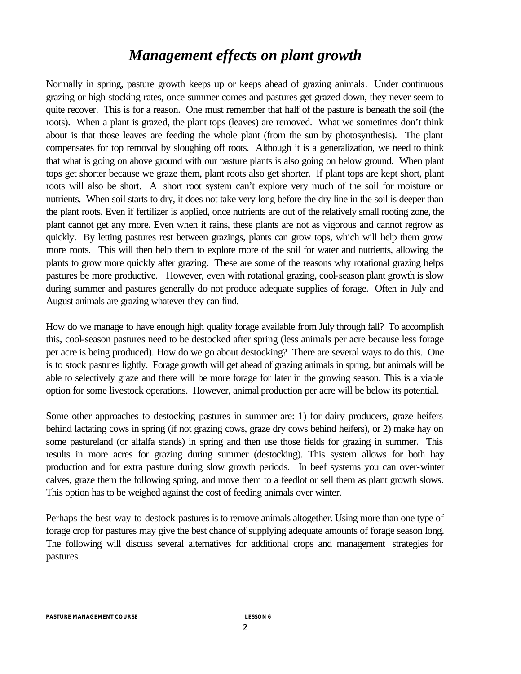## *Management effects on plant growth*

Normally in spring, pasture growth keeps up or keeps ahead of grazing animals. Under continuous grazing or high stocking rates, once summer comes and pastures get grazed down, they never seem to quite recover. This is for a reason. One must remember that half of the pasture is beneath the soil (the roots). When a plant is grazed, the plant tops (leaves) are removed. What we sometimes don't think about is that those leaves are feeding the whole plant (from the sun by photosynthesis). The plant compensates for top removal by sloughing off roots. Although it is a generalization, we need to think that what is going on above ground with our pasture plants is also going on below ground. When plant tops get shorter because we graze them, plant roots also get shorter. If plant tops are kept short, plant roots will also be short. A short root system can't explore very much of the soil for moisture or nutrients. When soil starts to dry, it does not take very long before the dry line in the soil is deeper than the plant roots. Even if fertilizer is applied, once nutrients are out of the relatively small rooting zone, the plant cannot get any more. Even when it rains, these plants are not as vigorous and cannot regrow as quickly. By letting pastures rest between grazings, plants can grow tops, which will help them grow more roots. This will then help them to explore more of the soil for water and nutrients, allowing the plants to grow more quickly after grazing. These are some of the reasons why rotational grazing helps pastures be more productive. However, even with rotational grazing, cool-season plant growth is slow during summer and pastures generally do not produce adequate supplies of forage. Often in July and August animals are grazing whatever they can find.

How do we manage to have enough high quality forage available from July through fall? To accomplish this, cool-season pastures need to be destocked after spring (less animals per acre because less forage per acre is being produced). How do we go about destocking? There are several ways to do this. One is to stock pastures lightly. Forage growth will get ahead of grazing animals in spring, but animals will be able to selectively graze and there will be more forage for later in the growing season. This is a viable option for some livestock operations. However, animal production per acre will be below its potential.

Some other approaches to destocking pastures in summer are: 1) for dairy producers, graze heifers behind lactating cows in spring (if not grazing cows, graze dry cows behind heifers), or 2) make hay on some pastureland (or alfalfa stands) in spring and then use those fields for grazing in summer. This results in more acres for grazing during summer (destocking). This system allows for both hay production and for extra pasture during slow growth periods. In beef systems you can over-winter calves, graze them the following spring, and move them to a feedlot or sell them as plant growth slows. This option has to be weighed against the cost of feeding animals over winter.

Perhaps the best way to destock pastures is to remove animals altogether. Using more than one type of forage crop for pastures may give the best chance of supplying adequate amounts of forage season long. The following will discuss several alternatives for additional crops and management strategies for pastures.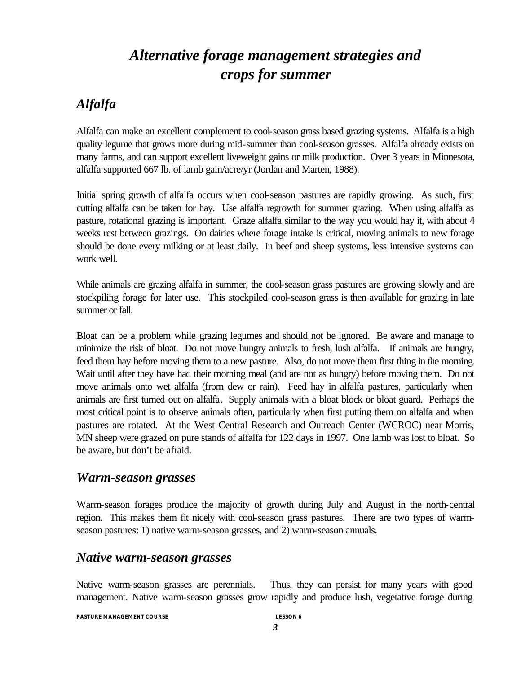## *Alternative forage management strategies and crops for summer*

### *Alfalfa*

Alfalfa can make an excellent complement to cool-season grass based grazing systems. Alfalfa is a high quality legume that grows more during mid-summer than cool-season grasses. Alfalfa already exists on many farms, and can support excellent liveweight gains or milk production. Over 3 years in Minnesota, alfalfa supported 667 lb. of lamb gain/acre/yr (Jordan and Marten, 1988).

Initial spring growth of alfalfa occurs when cool-season pastures are rapidly growing. As such, first cutting alfalfa can be taken for hay. Use alfalfa regrowth for summer grazing. When using alfalfa as pasture, rotational grazing is important. Graze alfalfa similar to the way you would hay it, with about 4 weeks rest between grazings. On dairies where forage intake is critical, moving animals to new forage should be done every milking or at least daily. In beef and sheep systems, less intensive systems can work well.

While animals are grazing alfalfa in summer, the cool-season grass pastures are growing slowly and are stockpiling forage for later use. This stockpiled cool-season grass is then available for grazing in late summer or fall.

Bloat can be a problem while grazing legumes and should not be ignored. Be aware and manage to minimize the risk of bloat. Do not move hungry animals to fresh, lush alfalfa. If animals are hungry, feed them hay before moving them to a new pasture. Also, do not move them first thing in the morning. Wait until after they have had their morning meal (and are not as hungry) before moving them. Do not move animals onto wet alfalfa (from dew or rain). Feed hay in alfalfa pastures, particularly when animals are first turned out on alfalfa. Supply animals with a bloat block or bloat guard. Perhaps the most critical point is to observe animals often, particularly when first putting them on alfalfa and when pastures are rotated. At the West Central Research and Outreach Center (WCROC) near Morris, MN sheep were grazed on pure stands of alfalfa for 122 days in 1997. One lamb was lost to bloat. So be aware, but don't be afraid.

#### *Warm-season grasses*

Warm-season forages produce the majority of growth during July and August in the north-central region. This makes them fit nicely with cool-season grass pastures. There are two types of warmseason pastures: 1) native warm-season grasses, and 2) warm-season annuals.

#### *Native warm-season grasses*

Native warm-season grasses are perennials. Thus, they can persist for many years with good management. Native warm-season grasses grow rapidly and produce lush, vegetative forage during

*PASTURE MANAGEMENT COURSE LESSON 6*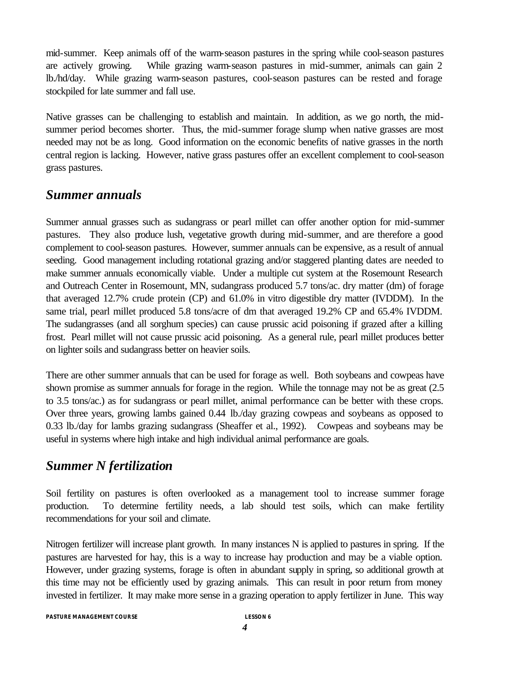mid-summer. Keep animals off of the warm-season pastures in the spring while cool-season pastures are actively growing. While grazing warm-season pastures in mid-summer, animals can gain 2 lb./hd/day. While grazing warm-season pastures, cool-season pastures can be rested and forage stockpiled for late summer and fall use.

Native grasses can be challenging to establish and maintain. In addition, as we go north, the midsummer period becomes shorter. Thus, the mid-summer forage slump when native grasses are most needed may not be as long. Good information on the economic benefits of native grasses in the north central region is lacking. However, native grass pastures offer an excellent complement to cool-season grass pastures.

#### *Summer annuals*

Summer annual grasses such as sudangrass or pearl millet can offer another option for mid-summer pastures. They also produce lush, vegetative growth during mid-summer, and are therefore a good complement to cool-season pastures. However, summer annuals can be expensive, as a result of annual seeding. Good management including rotational grazing and/or staggered planting dates are needed to make summer annuals economically viable. Under a multiple cut system at the Rosemount Research and Outreach Center in Rosemount, MN, sudangrass produced 5.7 tons/ac. dry matter (dm) of forage that averaged 12.7% crude protein (CP) and 61.0% in vitro digestible dry matter (IVDDM). In the same trial, pearl millet produced 5.8 tons/acre of dm that averaged 19.2% CP and 65.4% IVDDM. The sudangrasses (and all sorghum species) can cause prussic acid poisoning if grazed after a killing frost. Pearl millet will not cause prussic acid poisoning. As a general rule, pearl millet produces better on lighter soils and sudangrass better on heavier soils.

There are other summer annuals that can be used for forage as well. Both soybeans and cowpeas have shown promise as summer annuals for forage in the region. While the tonnage may not be as great (2.5 to 3.5 tons/ac.) as for sudangrass or pearl millet, animal performance can be better with these crops. Over three years, growing lambs gained 0.44 lb./day grazing cowpeas and soybeans as opposed to 0.33 lb./day for lambs grazing sudangrass (Sheaffer et al., 1992). Cowpeas and soybeans may be useful in systems where high intake and high individual animal performance are goals.

#### *Summer N fertilization*

Soil fertility on pastures is often overlooked as a management tool to increase summer forage production. To determine fertility needs, a lab should test soils, which can make fertility recommendations for your soil and climate.

Nitrogen fertilizer will increase plant growth. In many instances N is applied to pastures in spring. If the pastures are harvested for hay, this is a way to increase hay production and may be a viable option. However, under grazing systems, forage is often in abundant supply in spring, so additional growth at this time may not be efficiently used by grazing animals. This can result in poor return from money invested in fertilizer. It may make more sense in a grazing operation to apply fertilizer in June. This way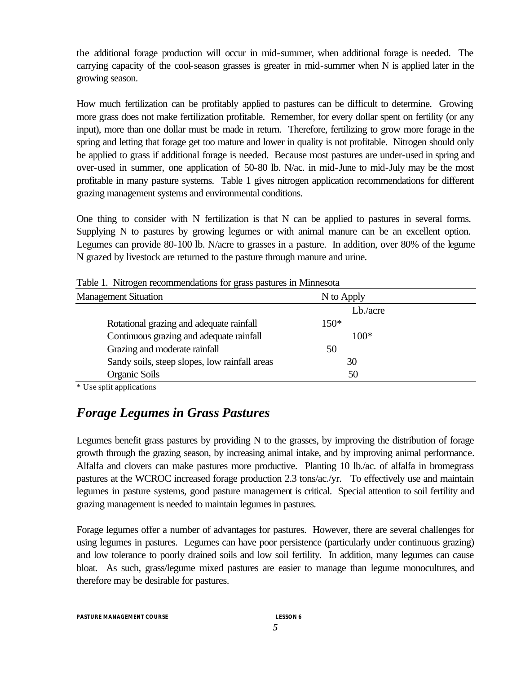the additional forage production will occur in mid-summer, when additional forage is needed. The carrying capacity of the cool-season grasses is greater in mid-summer when N is applied later in the growing season.

How much fertilization can be profitably applied to pastures can be difficult to determine. Growing more grass does not make fertilization profitable. Remember, for every dollar spent on fertility (or any input), more than one dollar must be made in return. Therefore, fertilizing to grow more forage in the spring and letting that forage get too mature and lower in quality is not profitable. Nitrogen should only be applied to grass if additional forage is needed. Because most pastures are under-used in spring and over-used in summer, one application of 50-80 lb. N/ac. in mid-June to mid-July may be the most profitable in many pasture systems. Table 1 gives nitrogen application recommendations for different grazing management systems and environmental conditions.

One thing to consider with N fertilization is that N can be applied to pastures in several forms. Supplying N to pastures by growing legumes or with animal manure can be an excellent option. Legumes can provide 80-100 lb. N/acre to grasses in a pasture. In addition, over 80% of the legume N grazed by livestock are returned to the pasture through manure and urine.

| Twelve It I throught recommissionations for grasss passence in Figures |            |
|------------------------------------------------------------------------|------------|
| <b>Management Situation</b>                                            | N to Apply |
|                                                                        | Lb./acre   |
| Rotational grazing and adequate rainfall                               | $150*$     |
| Continuous grazing and adequate rainfall                               | $100*$     |
| Grazing and moderate rainfall                                          | 50         |
| Sandy soils, steep slopes, low rainfall areas                          | 30         |
| Organic Soils                                                          | 50         |

Table 1. Nitrogen recommendations for grass pastures in Minnesota

\* Use split applications

#### *Forage Legumes in Grass Pastures*

Legumes benefit grass pastures by providing N to the grasses, by improving the distribution of forage growth through the grazing season, by increasing animal intake, and by improving animal performance. Alfalfa and clovers can make pastures more productive. Planting 10 lb./ac. of alfalfa in bromegrass pastures at the WCROC increased forage production 2.3 tons/ac./yr. To effectively use and maintain legumes in pasture systems, good pasture management is critical. Special attention to soil fertility and grazing management is needed to maintain legumes in pastures.

Forage legumes offer a number of advantages for pastures. However, there are several challenges for using legumes in pastures. Legumes can have poor persistence (particularly under continuous grazing) and low tolerance to poorly drained soils and low soil fertility. In addition, many legumes can cause bloat. As such, grass/legume mixed pastures are easier to manage than legume monocultures, and therefore may be desirable for pastures.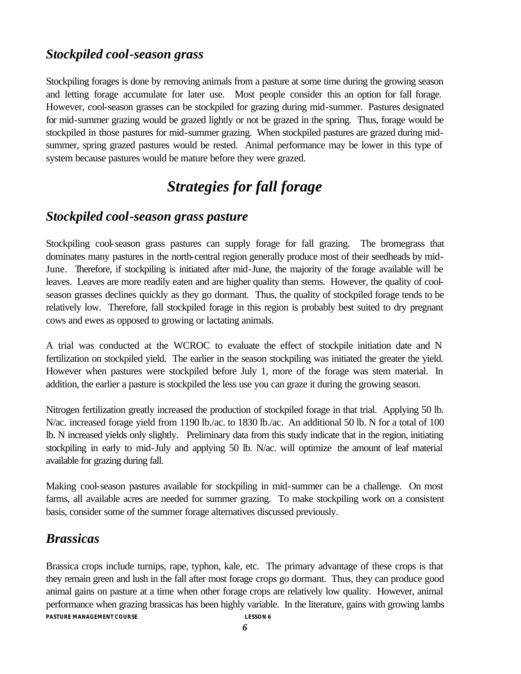#### *Stockpiled cool-season grass*

Stockpiling forages is done by removing animals from a pasture at some time during the growing season and letting forage accumulate for later use. Most people consider this an option for fall forage. However, cool-season grasses can be stockpiled for grazing during mid-summer. Pastures designated for mid-summer grazing would be grazed lightly or not be grazed in the spring. Thus, forage would be stockpiled in those pastures for mid-summer grazing. When stockpiled pastures are grazed during midsummer, spring grazed pastures would be rested. Animal performance may be lower in this type of system because pastures would be mature before they were grazed.

## *Strategies for fall forage*

#### *Stockpiled cool-season grass pasture*

Stockpiling cool-season grass pastures can supply forage for fall grazing. The bromegrass that dominates many pastures in the north-central region generally produce most of their seedheads by mid-June. Therefore, if stockpiling is initiated after mid-June, the majority of the forage available will be leaves. Leaves are more readily eaten and are higher quality than stems. However, the quality of coolseason grasses declines quickly as they go dormant. Thus, the quality of stockpiled forage tends to be relatively low. Therefore, fall stockpiled forage in this region is probably best suited to dry pregnant cows and ewes as opposed to growing or lactating animals.

A trial was conducted at the WCROC to evaluate the effect of stockpile initiation date and N fertilization on stockpiled yield. The earlier in the season stockpiling was initiated the greater the yield. However when pastures were stockpiled before July 1, more of the forage was stem material. In addition, the earlier a pasture is stockpiled the less use you can graze it during the growing season.

Nitrogen fertilization greatly increased the production of stockpiled forage in that trial. Applying 50 lb. N/ac. increased forage yield from 1190 lb./ac. to 1830 lb./ac. An additional 50 lb. N for a total of 100 lb. N increased yields only slightly. Preliminary data from this study indicate that in the region, initiating stockpiling in early to mid-July and applying 50 lb. N/ac. will optimize the amount of leaf material available for grazing during fall.

Making cool-season pastures available for stockpiling in mid-summer can be a challenge. On most farms, all available acres are needed for summer grazing. To make stockpiling work on a consistent basis, consider some of the summer forage alternatives discussed previously.

#### *Brassicas*

*PASTURE MANAGEMENT COURSE LESSON 6* Brassica crops include turnips, rape, typhon, kale, etc. The primary advantage of these crops is that they remain green and lush in the fall after most forage crops go dormant. Thus, they can produce good animal gains on pasture at a time when other forage crops are relatively low quality. However, animal performance when grazing brassicas has been highly variable. In the literature, gains with growing lambs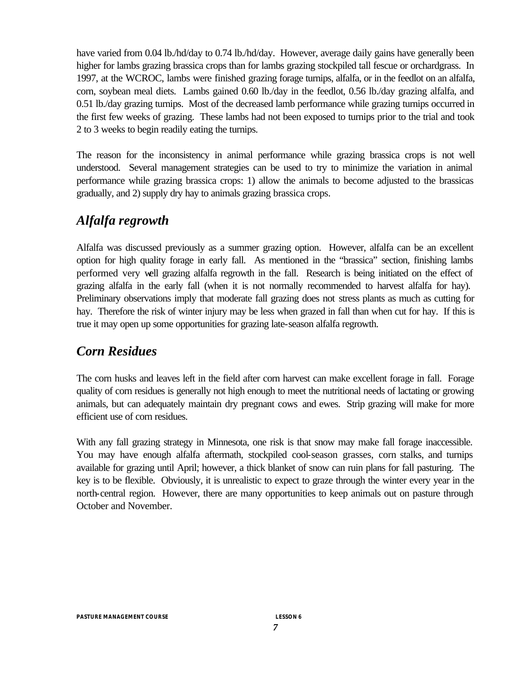have varied from 0.04 lb./hd/day to 0.74 lb./hd/day. However, average daily gains have generally been higher for lambs grazing brassica crops than for lambs grazing stockpiled tall fescue or orchardgrass. In 1997, at the WCROC, lambs were finished grazing forage turnips, alfalfa, or in the feedlot on an alfalfa, corn, soybean meal diets. Lambs gained 0.60 lb./day in the feedlot, 0.56 lb./day grazing alfalfa, and 0.51 lb./day grazing turnips. Most of the decreased lamb performance while grazing turnips occurred in the first few weeks of grazing. These lambs had not been exposed to turnips prior to the trial and took 2 to 3 weeks to begin readily eating the turnips.

The reason for the inconsistency in animal performance while grazing brassica crops is not well understood. Several management strategies can be used to try to minimize the variation in animal performance while grazing brassica crops: 1) allow the animals to become adjusted to the brassicas gradually, and 2) supply dry hay to animals grazing brassica crops.

#### *Alfalfa regrowth*

Alfalfa was discussed previously as a summer grazing option. However, alfalfa can be an excellent option for high quality forage in early fall. As mentioned in the "brassica" section, finishing lambs performed very well grazing alfalfa regrowth in the fall. Research is being initiated on the effect of grazing alfalfa in the early fall (when it is not normally recommended to harvest alfalfa for hay). Preliminary observations imply that moderate fall grazing does not stress plants as much as cutting for hay. Therefore the risk of winter injury may be less when grazed in fall than when cut for hay. If this is true it may open up some opportunities for grazing late-season alfalfa regrowth.

#### *Corn Residues*

The corn husks and leaves left in the field after corn harvest can make excellent forage in fall. Forage quality of corn residues is generally not high enough to meet the nutritional needs of lactating or growing animals, but can adequately maintain dry pregnant cows and ewes. Strip grazing will make for more efficient use of corn residues.

With any fall grazing strategy in Minnesota, one risk is that snow may make fall forage inaccessible. You may have enough alfalfa aftermath, stockpiled cool-season grasses, corn stalks, and turnips available for grazing until April; however, a thick blanket of snow can ruin plans for fall pasturing. The key is to be flexible. Obviously, it is unrealistic to expect to graze through the winter every year in the north-central region. However, there are many opportunities to keep animals out on pasture through October and November.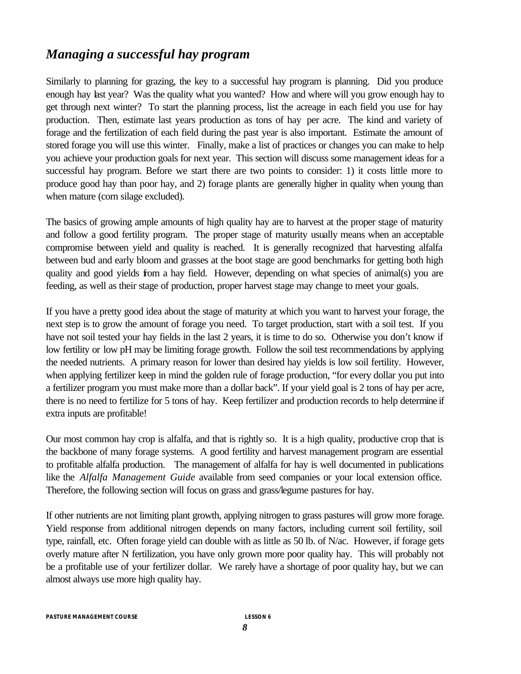#### *Managing a successful hay program*

Similarly to planning for grazing, the key to a successful hay program is planning. Did you produce enough hay last year? Was the quality what you wanted? How and where will you grow enough hay to get through next winter? To start the planning process, list the acreage in each field you use for hay production. Then, estimate last years production as tons of hay per acre. The kind and variety of forage and the fertilization of each field during the past year is also important. Estimate the amount of stored forage you will use this winter. Finally, make a list of practices or changes you can make to help you achieve your production goals for next year. This section will discuss some management ideas for a successful hay program. Before we start there are two points to consider: 1) it costs little more to produce good hay than poor hay, and 2) forage plants are generally higher in quality when young than when mature (corn silage excluded).

The basics of growing ample amounts of high quality hay are to harvest at the proper stage of maturity and follow a good fertility program. The proper stage of maturity usually means when an acceptable compromise between yield and quality is reached. It is generally recognized that harvesting alfalfa between bud and early bloom and grasses at the boot stage are good benchmarks for getting both high quality and good yields from a hay field. However, depending on what species of animal(s) you are feeding, as well as their stage of production, proper harvest stage may change to meet your goals.

If you have a pretty good idea about the stage of maturity at which you want to harvest your forage, the next step is to grow the amount of forage you need. To target production, start with a soil test. If you have not soil tested your hay fields in the last 2 years, it is time to do so. Otherwise you don't know if low fertility or low pH may be limiting forage growth. Follow the soil test recommendations by applying the needed nutrients. A primary reason for lower than desired hay yields is low soil fertility. However, when applying fertilizer keep in mind the golden rule of forage production, "for every dollar you put into a fertilizer program you must make more than a dollar back". If your yield goal is 2 tons of hay per acre, there is no need to fertilize for 5 tons of hay. Keep fertilizer and production records to help determine if extra inputs are profitable!

Our most common hay crop is alfalfa, and that is rightly so. It is a high quality, productive crop that is the backbone of many forage systems. A good fertility and harvest management program are essential to profitable alfalfa production. The management of alfalfa for hay is well documented in publications like the *Alfalfa Management Guide* available from seed companies or your local extension office. Therefore, the following section will focus on grass and grass/legume pastures for hay.

If other nutrients are not limiting plant growth, applying nitrogen to grass pastures will grow more forage. Yield response from additional nitrogen depends on many factors, including current soil fertility, soil type, rainfall, etc. Often forage yield can double with as little as 50 lb. of N/ac. However, if forage gets overly mature after N fertilization, you have only grown more poor quality hay. This will probably not be a profitable use of your fertilizer dollar. We rarely have a shortage of poor quality hay, but we can almost always use more high quality hay.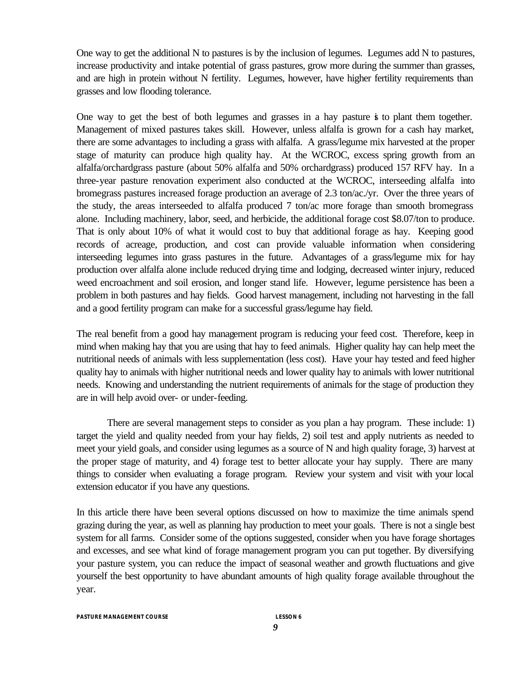One way to get the additional N to pastures is by the inclusion of legumes. Legumes add N to pastures, increase productivity and intake potential of grass pastures, grow more during the summer than grasses, and are high in protein without N fertility. Legumes, however, have higher fertility requirements than grasses and low flooding tolerance.

One way to get the best of both legumes and grasses in a hay pasture is to plant them together. Management of mixed pastures takes skill. However, unless alfalfa is grown for a cash hay market, there are some advantages to including a grass with alfalfa. A grass/legume mix harvested at the proper stage of maturity can produce high quality hay. At the WCROC, excess spring growth from an alfalfa/orchardgrass pasture (about 50% alfalfa and 50% orchardgrass) produced 157 RFV hay. In a three-year pasture renovation experiment also conducted at the WCROC, interseeding alfalfa into bromegrass pastures increased forage production an average of 2.3 ton/ac./yr. Over the three years of the study, the areas interseeded to alfalfa produced 7 ton/ac more forage than smooth bromegrass alone. Including machinery, labor, seed, and herbicide, the additional forage cost \$8.07/ton to produce. That is only about 10% of what it would cost to buy that additional forage as hay. Keeping good records of acreage, production, and cost can provide valuable information when considering interseeding legumes into grass pastures in the future. Advantages of a grass/legume mix for hay production over alfalfa alone include reduced drying time and lodging, decreased winter injury, reduced weed encroachment and soil erosion, and longer stand life. However, legume persistence has been a problem in both pastures and hay fields. Good harvest management, including not harvesting in the fall and a good fertility program can make for a successful grass/legume hay field.

The real benefit from a good hay management program is reducing your feed cost. Therefore, keep in mind when making hay that you are using that hay to feed animals. Higher quality hay can help meet the nutritional needs of animals with less supplementation (less cost). Have your hay tested and feed higher quality hay to animals with higher nutritional needs and lower quality hay to animals with lower nutritional needs. Knowing and understanding the nutrient requirements of animals for the stage of production they are in will help avoid over- or under-feeding.

There are several management steps to consider as you plan a hay program. These include: 1) target the yield and quality needed from your hay fields, 2) soil test and apply nutrients as needed to meet your yield goals, and consider using legumes as a source of N and high quality forage, 3) harvest at the proper stage of maturity, and 4) forage test to better allocate your hay supply. There are many things to consider when evaluating a forage program. Review your system and visit with your local extension educator if you have any questions.

In this article there have been several options discussed on how to maximize the time animals spend grazing during the year, as well as planning hay production to meet your goals. There is not a single best system for all farms. Consider some of the options suggested, consider when you have forage shortages and excesses, and see what kind of forage management program you can put together. By diversifying your pasture system, you can reduce the impact of seasonal weather and growth fluctuations and give yourself the best opportunity to have abundant amounts of high quality forage available throughout the year.